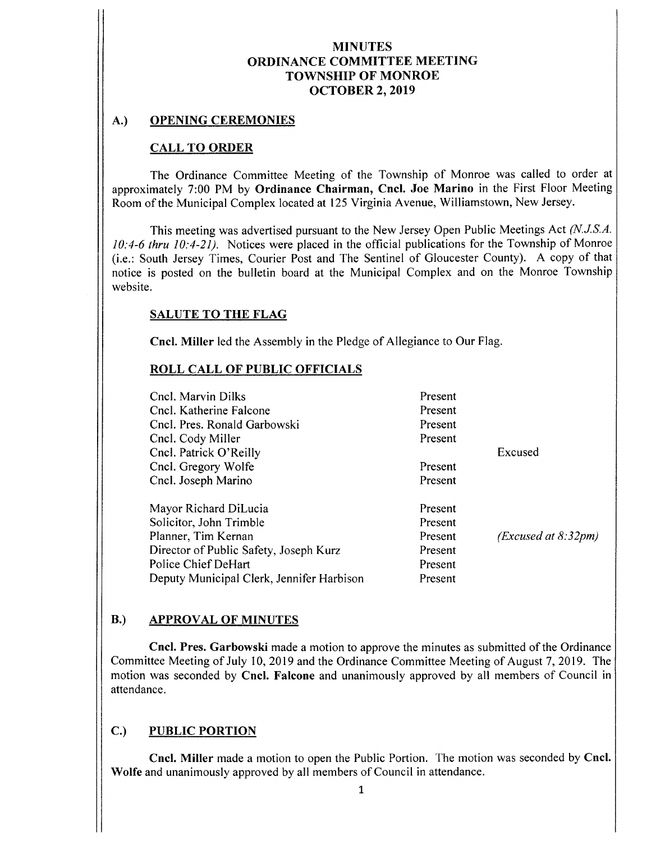#### A.) OPENING CEREMONIES

#### CALL TO ORDER

The Ordinance Committee Meeting of the Township of Monroe was called to order at approximately 7:00 PM by Ordinance Chairman, Cncl. Joe Marino in the First Floor Meeting Room of the Municipal Complex located at 125 Virginia Avenue, Williamstown, New Jersey.

This meeting was advertised pursuant to the New Jersey Open Public Meetings Act (N.J.S.A.  $10:4-6$  thru  $10:4-21$ ). Notices were placed in the official publications for the Township of Monroe (i.e.: South Jersey Times, Courier Post and The Sentinel of Gloucester County). A copy of that notice is posted on the bulletin board at the Municipal Complex and on the Monroe Township website.

#### SALUTE TO THE FLAG

Cncl. Miller led the Assembly in the Pledge of Allegiance to Our Flag.

#### ROLL CALL OF PUBLIC OFFICIALS

| Cncl. Marvin Dilks                        | Present |                     |
|-------------------------------------------|---------|---------------------|
| Cncl. Katherine Falcone                   | Present |                     |
| Cncl. Pres. Ronald Garbowski              | Present |                     |
| Cncl. Cody Miller                         | Present |                     |
| Cncl. Patrick O'Reilly                    |         | Excused             |
| Cncl. Gregory Wolfe                       | Present |                     |
| Cncl. Joseph Marino                       | Present |                     |
| Mayor Richard DiLucia                     | Present |                     |
| Solicitor, John Trimble                   | Present |                     |
| Planner, Tim Kernan                       | Present | (Excused at 8:32pm) |
| Director of Public Safety, Joseph Kurz    | Present |                     |
| Police Chief DeHart                       | Present |                     |
| Deputy Municipal Clerk, Jennifer Harbison | Present |                     |

#### B.) APPROVAL OF MINUTES

Cncl. Pres. Garbowski made <sup>a</sup> motion to approve the minutes as submitted of the Ordinance Committee Meeting of July 10, 2019 and the Ordinance Committee Meeting of August 7, 2019. The motion was seconded by Cncl. Falcone and unanimously approved by all members of Council in attendance.

### C.) PUBLIC PORTION

Cncl. Miller made <sup>a</sup> motion to open the Public Portion. The motion was seconded by Cncl. Wolfe and unanimously approved by all members of Council in attendance.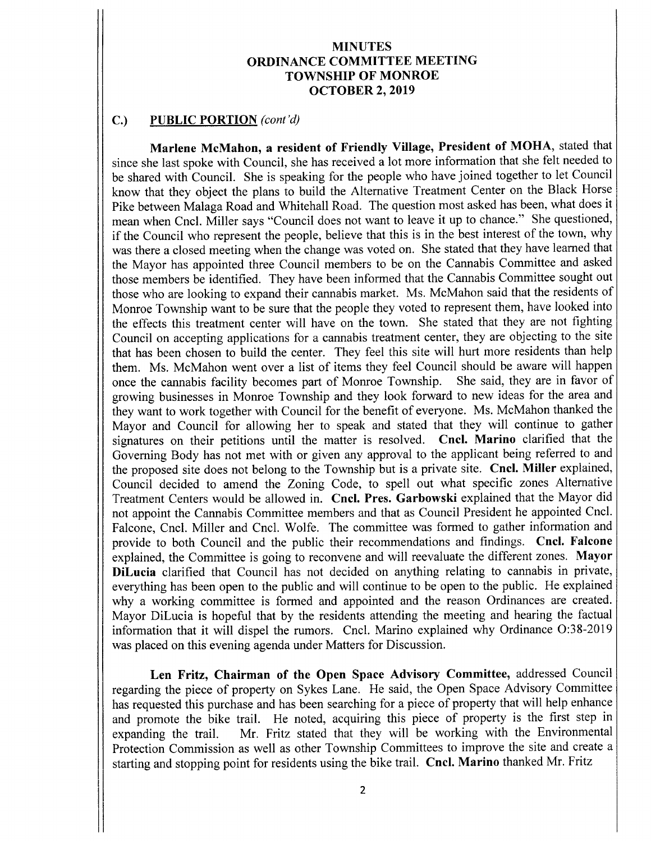#### C.) PUBLIC PORTION (cont'd)

Marlene McMahon, a resident of Friendly Village, President of MOHA, stated that since she last spoke with Council, she has received a lot more information that she felt needed to be shared with Council. She is speaking for the people who have joined together to let Council know that they object the plans to build the Alternative Treatment Center on the Black Horse Pike between Malaga Road and Whitehall Road. The question most asked has been, what does it mean when Cncl. Miller says "Council does not want to leave it up to chance." She questioned, if the Council who represent the people, believe that this is in the best interest of the town, why was there a closed meeting when the change was voted on. She stated that they have learned that the Mayor has appointed three Council members to be on the Cannabis Committee and asked those members be identified. They have been informed that the Cannabis Committee sought out those who are looking to expand their cannabis market. Ms. McMahon said that the residents of Monroe Township want to be sure that the people they voted to represent them, have looked into the effects this treatment center will have on the town. She stated that they are not fighting Council on accepting applications for a cannabis treatment center, they are objecting to the site that has been chosen to build the center. They feel this site will hurt more residents than help them. Ms. McMahon went over <sup>a</sup> list of items they feel Council should be aware will happen once the cannabis facility becomes part of Monroe Township. She said, they are in favor of growing businesses in Monroe Township and they look forward to new ideas for the area and they want to work together with Council for the benefit of everyone. Ms. McMahon thanked the Mayor and Council for allowing her to speak and stated that they will continue to gather signatures on their petitions until the matter is resolved. Cncl. Marino clarified that the Governing Body has not met with or given any approval to the applicant being referred to and the proposed site does not belong to the Township but is <sup>a</sup> private site. Cncl. Miller explained, Council decided to amend the Zoning Code, to spell out what specific zones Alternative Treatment Centers would be allowed in. Cncl. Pres. Garbowski explained that the Mayor did not appoint the Cannabis Committee members and that as Council President he appointed Cncl. Falcone, Cncl. Miller and Cncl. Wolfe. The committee was formed to gather information and provide to both Council and the public their recommendations and findings. Cncl. Falcone explained, the Committee is going to reconvene and will reevaluate the different zones. Mayor DiLucia clarified that Council has not decided on anything relating to cannabis in private, everything has been open to the public and will continue to be open to the public. He explained why a working committee is formed and appointed and the reason Ordinances are created. Mayor DiLucia is hopeful that by the residents attending the meeting and hearing the factual information that it will dispel the rumors. Cncl. Marino explained why Ordinance O:38-2019 was placed on this evening agenda under Matters for Discussion.

Len Fritz, Chairman of the Open Space Advisory Committee, addressed Council regarding the piece of property on Sykes Lane. He said, the Open Space Advisory Committee has requested this purchase and has been searching for <sup>a</sup> piece of property that will help enhance and promote the bike trail. He noted, acquiring this piece of property is the first step in expanding the trail. Mr. Fritz stated that they will be working with the Environmental Mr. Fritz stated that they will be working with the Environmental Protection Commission as well as other Township Committees to improve the site and create a starting and stopping point for residents using the bike trail. Cncl. Marino thanked Mr. Fritz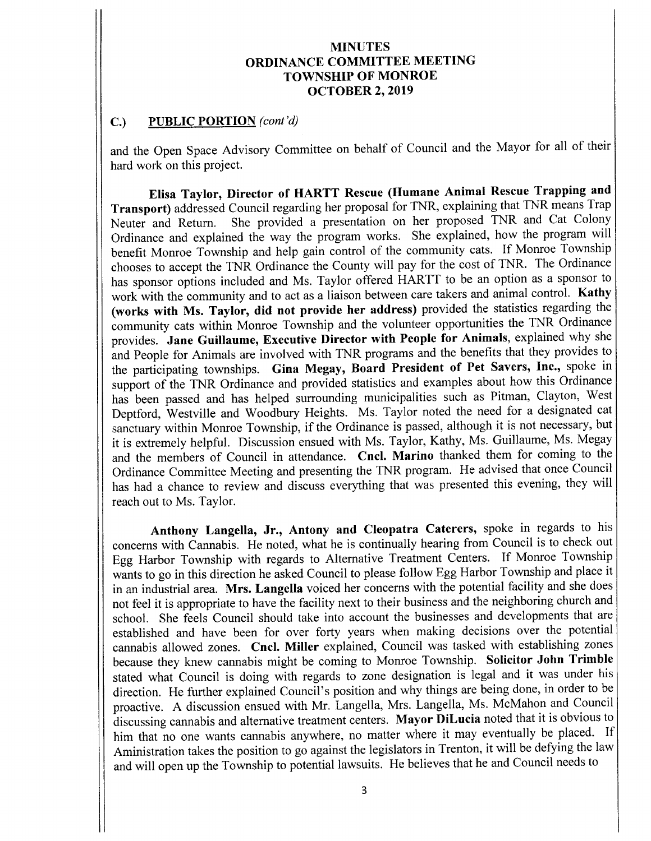#### $C.)$  PUBLIC PORTION (cont'd)

and the Open Space Advisory Committee on behalf of Council and the Mayor for all of their hard work on this project.

Elisa Taylor, Director of HARTT Rescue ( Humane Animal Rescue Trapping and Transport) addressed Council regarding her proposal for TNR, explaining that TNR means Trap<br>Neuter and Return. She provided a presentation on her proposed TNR and Cat Colony She provided a presentation on her proposed TNR and Cat Colony Ordinance and explained the way the program works. She explained, how the program will benefit Monroe Township and help gain control of the community cats. If Monroe Township chooses to accept the TNR Ordinance the County will pay for the cost of TNR. The Ordinance has sponsor options included and Ms. Taylor offered HARTT to be an option as a sponsor to work with the community and to act as <sup>a</sup> liaison between care takers and animal control. Kathy works with Ms. Taylor, did not provide her address) provided the statistics regarding the community cats within Monroe Township and the volunteer opportunities the TNR Ordinance provides. Jane Guillaume, Executive Director with People for Animals, explained why she and People for Animals are involved with TNR programs and the benefits that they provides to the participating townships. Gina Megay, Board President of Pet Savers, Inc., spoke in support of the TNR Ordinance and provided statistics and examples about how this Ordinance has been passed and has helped surrounding municipalities such as Pitman, Clayton, West Deptford, Westville and Woodbury Heights. Ms. Taylor noted the need for <sup>a</sup> designated cat sanctuary within Monroe Township, if the Ordinance is passed, although it is not necessary, but it is extremely helpful. Discussion ensued with Ms. Taylor, Kathy, Ms. Guillaume, Ms. Megay and the members of Council in attendance. Cncl. Marino thanked them for coming to the Ordinance Committee Meeting and presenting the TNR program. He advised that once Council has had <sup>a</sup> chance to review and discuss everything that was presented this evening, they will reach out to Ms. Taylor.

Anthony Langella, Jr., Antony and Cleopatra Caterers, spoke in regards to his concerns with Cannabis. He noted, what he is continually hearing from Council is to check out Egg Harbor Township with regards to Alternative Treatment Centers. If Monroe Township wants to go in this direction he asked Council to please follow Egg Harbor Township and place it in an industrial area. Mrs. Langella voiced her concerns with the potential facility and she does not feel it is appropriate to have the facility next to their business and the neighboring church and school. She feels Council should take into account the businesses and developments that are established and have been for over forty years when making decisions over the potential cannabis allowed zones. Cncl. Miller explained, Council was tasked with establishing zones because they knew cannabis might be coming to Monroe Township. Solicitor John Trimble stated what Council is doing with regards to zone designation is legal and it was under his direction. He further explained Council's position and why things are being done, in order to be proactive. A discussion ensued with Mr. Langella, Mrs. Langella, Ms. McMahon and Council discussing cannabis and alternative treatment centers. Mayor DiLucia noted that it is obvious to him that no one wants cannabis anywhere, no matter where it may eventually be placed. If Aministration takes the position to go against the legislators in Trenton, it will be defying the law and will open up the Township to potential lawsuits. He believes that he and Council needs to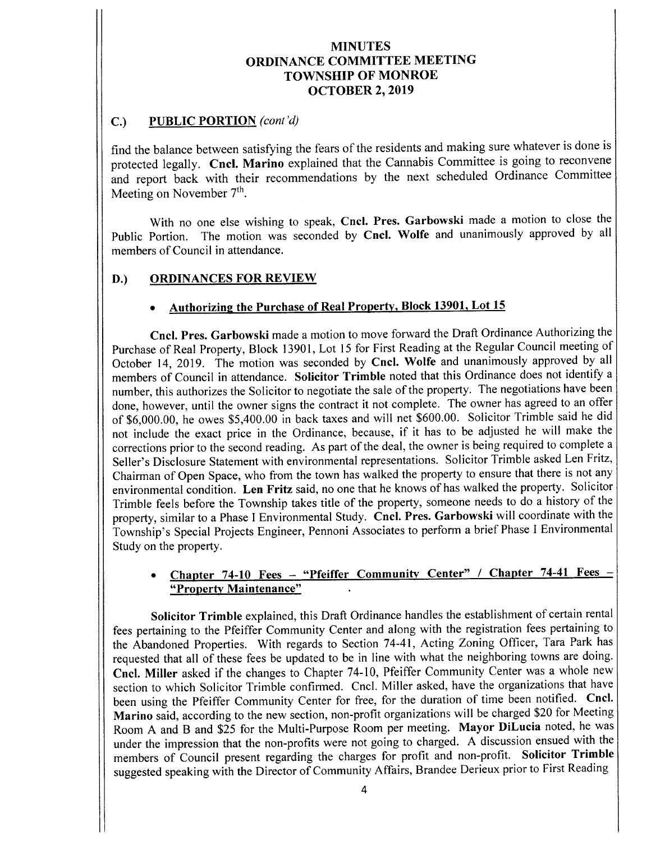## C.) PUBLIC PORTION (cont'd)

find the balance between satisfying the fears of the residents and making sure whatever is done is protected legally. Cncl. Marino explained that the Cannabis Committee is going to reconvene and report back with their recommendations by the next scheduled Ordinance Committee Meeting on November  $7<sup>th</sup>$ .

With no one else wishing to speak, Cncl. Pres. Garbowski made a motion to close the Public Portion. The motion was seconded by Cncl. Wolfe and unanimously approved by all members of Council in attendance.

## D.) ORDINANCES FOR REVIEW

### Authorizing the Purchase of Real Property, Block 13901, Lot 15

Cncl. Pres. Garbowski made a motion to move forward the Draft Ordinance Authorizing the Purchase of Real Property, Block 13901, Lot <sup>15</sup> for First Reading at the Regular Council meeting of October 14, 2019. The motion was seconded by Cncl. Wolfe and unanimously approved by all members of Council in attendance. Solicitor Trimble noted that this Ordinance does not identify <sup>a</sup> number, this authorizes the Solicitor to negotiate the sale of the property. The negotiations have been done, however, until the owner signs the contract it not complete. The owner has agreed to an offer of \$6,000.00, he owes \$5,400.00 in back taxes and will net \$600.00. Solicitor Trimble said he did not include the exact price in the Ordinance, because, if it has to be adjusted he will make the corrections prior to the second reading. As part of the deal, the owner is being required to complete a Seller's Disclosure Statement with environmental representations. Solicitor Trimble asked Len Fritz, Chairman of Open Space, who from the town has walked the property to ensure that there is not any environmental condition. Len Fritz said, no one that he knows of has walked the property. Solicitor Trimble feels before the Township takes title of the property, someone needs to do <sup>a</sup> history of the property, similar to <sup>a</sup> Phase I Environmental Study. Cncl. Pres. Garbowski will coordinate with the Township's Special Projects Engineer, Pennoni Associates to perform a brief Phase I Environmental Study on the property.

# Chapter 74-10 Fees - "Pfeiffer Community Center" / Chapter 74-41 Fees -Property Maintenance"

Solicitor Trimble explained, this Draft Ordinance handles the establishment of certain rental fees pertaining to the Pfeiffer Community Center and along with the registration fees pertaining to the Abandoned Properties. With regards to Section 74-41, Acting Zoning Officer, Tara Park has requested that all of these fees be updated to be in line with what the neighboring towns are doing. Cncl. Miller asked if the changes to Chapter 74- 10, Pfeiffer Community Center was <sup>a</sup> whole new section to which Solicitor Trimble confirmed. Cncl. Miller asked, have the organizations that have been using the Pfeiffer Community Center for free, for the duration of time been notified. Cncl. Marino said, according to the new section, non-profit organizations will be charged \$20 for Meeting Room A and B and \$25 for the Multi-Purpose Room per meeting. Mayor DiLucia noted, he was under the impression that the non-profits were not going to charged. A discussion ensued with the members of Council present regarding the charges for profit and non- profit. Solicitor Trimble suggested speaking with the Director of Community Affairs, Brandee Derieux prior to First Reading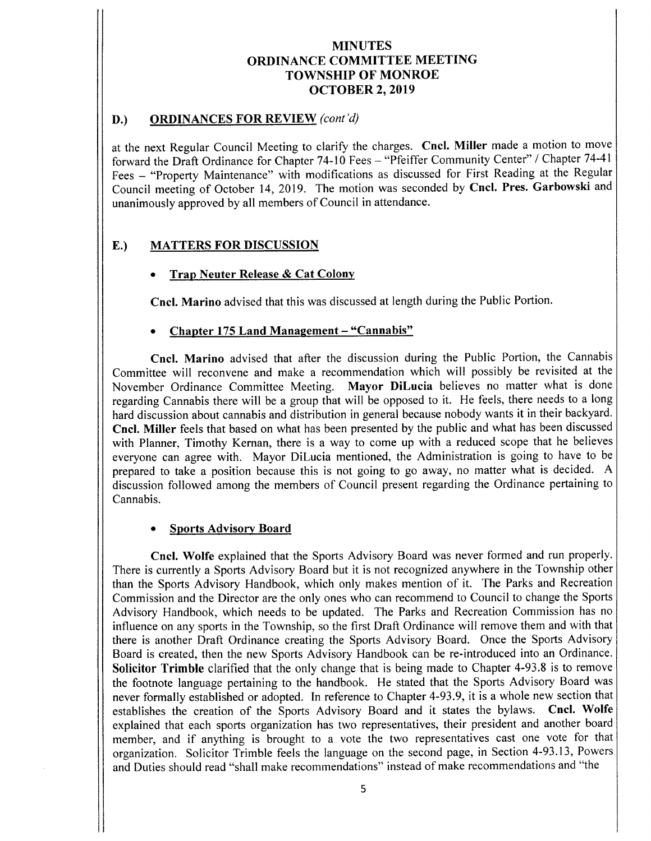## D.) ORDINANCES FOR REVIEW (cont'd)

at the next Regular Council Meeting to clarify the charges. Cncl. Miller made <sup>a</sup> motion to move forward the Draft Ordinance for Chapter 74-10 Fees - "Pfeiffer Community Center" / Chapter 74-41 Fees — " Property Maintenance" with modifications as discussed for First Reading at the Regular Council meeting of October 14, 2019. The motion was seconded by Cncl. Pres. Garbowski and unanimously approved by all members of Council in attendance.

## E.) MATTERS FOR DISCUSSION

### Trap Neuter Release& Cat Colony

Cncl. Marino advised that this was discussed at length during the Public Portion.

### Chapter 175 Land Management - "Cannabis"

Cncl. Marino advised that after the discussion during the Public Portion, the Cannabis Committee will reconvene and make <sup>a</sup> recommendation which will possibly be revisited at the November Ordinance Committee Meeting. Mayor DiLucia believes no matter what is done regarding Cannabis there will be <sup>a</sup> group that will be opposed to it. He feels, there needs to <sup>a</sup> long hard discussion about cannabis and distribution in general because nobody wants it in their backyard. Cncl. Miller feels that based on what has been presented by the public and what has been discussed with Planner, Timothy Kernan, there is a way to come up with a reduced scope that he believes everyone can agree with. Mayor DiLucia mentioned, the Administration is going to have to be prepared to take <sup>a</sup> position because this is not going to go away, no matter what is decided. A discussion followed among the members of Council present regarding the Ordinance pertaining to Cannabis.

### Sports Advisory Board

I

Cncl. Wolfe explained that the Sports Advisory Board was never formed and run properly. There is currently a Sports Advisory Board but it is not recognized anywhere in the Township other than the Sports Advisory Handbook, which only makes mention of it. The Parks and Recreation Commission and the Director are the only ones who can recommend to Council to change the Sports Advisory Handbook, which needs to be updated. The Parks and Recreation Commission has no influence on any sports in the Township, so the first Draft Ordinance will remove them and with that there is another Draft Ordinance creating the Sports Advisory Board. Once the Sports Advisory Board is created, then the new Sports Advisory Handbook can be re- introduced into an Ordinance. Solicitor Trimble clarified that the only change that is being made to Chapter 4-93.8 is to remove the footnote language pertaining to the handbook. He stated that the Sports Advisory Board was never formally established or adopted. In reference to Chapter 4-93.9, it is a whole new section that establishes the creation of the Sports Advisory Board and it states the bylaws. Cncl. Wolfe explained that each sports organization has two representatives, their president and another board member, and if anything is brought to <sup>a</sup> vote the two representatives cast one vote for that organization. Solicitor Trimble feels the language on the second page, in Section 4-93.13, Powers and Duties should read "shall make recommendations" instead of make recommendations and "the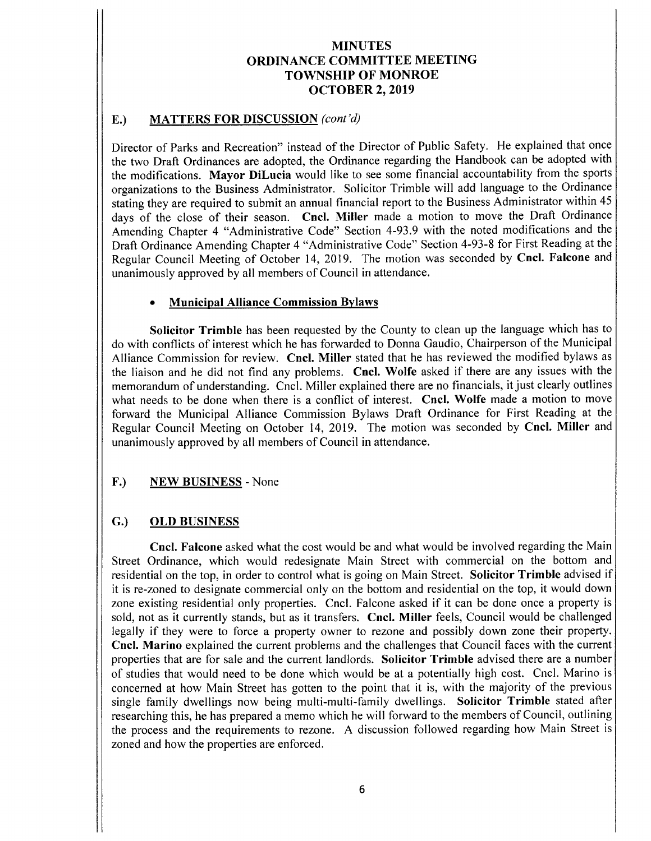## E.) MATTERS FOR DISCUSSION (cont'd)

Director of Parks and Recreation" instead of the Director of Public Safety. He explained that once the two Draft Ordinances are adopted, the Ordinance regarding the Handbook can be adopted with the modifications. Mayor DiLucia would like to see some financial accountability from the sports organizations to the Business Administrator. Solicitor Trimble will add language to the Ordinance stating they are required to submit an annual financial report to the Business Administrator within 45 days of the close of their season. Cncl. Miller made <sup>a</sup> motion to move the Draft Ordinance Amending Chapter 4 "Administrative Code" Section 4-93.9 with the noted modifications and the Draft Ordinance Amending Chapter 4 "Administrative Code" Section 4-93-8 for First Reading at the Regular Council Meeting of October 14, 2019. The motion was seconded by Cncl. Falcone and unanimously approved by all members of Council in attendance.

### Municipal Alliance Commission Bylaws

Solicitor Trimble has been requested by the County to clean up the language which has to do with conflicts of interest which he has forwarded to Donna Gaudio, Chairperson of the Municipal Alliance Commission for review. Cncl. Miller stated that he has reviewed the modified bylaws as the liaison and he did not find any problems. Cncl. Wolfe asked if there are any issues with the memorandum of understanding. Cncl. Miller explained there are no financials, it just clearly outlines what needs to be done when there is <sup>a</sup> conflict of interest. Cncl. Wolfe made <sup>a</sup> motion to move forward the Municipal Alliance Commission Bylaws Draft Ordinance for First Reading at the Regular Council Meeting on October 14, 2019. The motion was seconded by Cncl. Miller and unanimously approved by all members of Council in attendance.

### F.) NEW BUSINESS - None

### G.) OLD BUSINESS

Cncl. Falcone asked what the cost would be and what would be involved regarding the Main Street Ordinance, which would redesignate Main Street with commercial on the bottom and residential on the top, in order to control what is going on Main Street. Solicitor Trimble advised if it is re- zoned to designate commercial only on the bottom and residential on the top, it would down zone existing residential only properties. Cncl. Falcone asked if it can be done once <sup>a</sup> property is sold, not as it currently stands, but as it transfers. Cncl. Miller feels, Council would be challenged legally if they were to force <sup>a</sup> property owner to rezone and possibly down zone their property. Cncl. Marino explained the current problems and the challenges that Council faces with the current properties that are for sale and the current landlords. Solicitor Trimble advised there are <sup>a</sup> number of studies that would need to be done which would be at <sup>a</sup> potentially high cost. Cncl. Marino is concerned at how Main Street has gotten to the point that it is, with the majority of the previous single family dwellings now being multi-multi-family dwellings. Solicitor Trimble stated after researching this, he has prepared <sup>a</sup> memo which he will forward to the members of Council, outlining the process and the requirements to rezone. A discussion followed regarding how Main Street is zoned and how the properties are enforced.